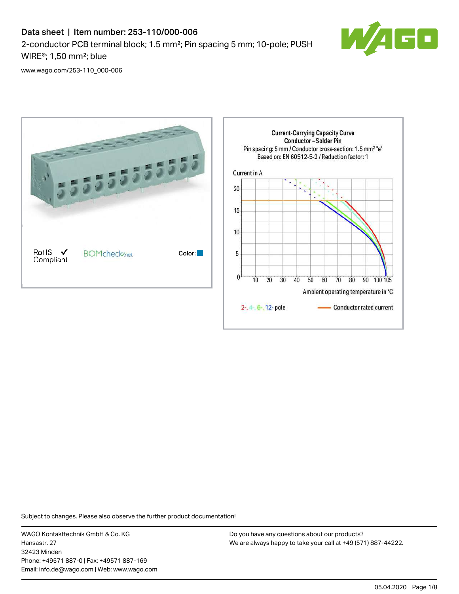# Data sheet | Item number: 253-110/000-006 2-conductor PCB terminal block; 1.5 mm²; Pin spacing 5 mm; 10-pole; PUSH WIRE®; 1,50 mm²; blue



[www.wago.com/253-110\\_000-006](http://www.wago.com/253-110_000-006)



Subject to changes. Please also observe the further product documentation!

WAGO Kontakttechnik GmbH & Co. KG Hansastr. 27 32423 Minden Phone: +49571 887-0 | Fax: +49571 887-169 Email: info.de@wago.com | Web: www.wago.com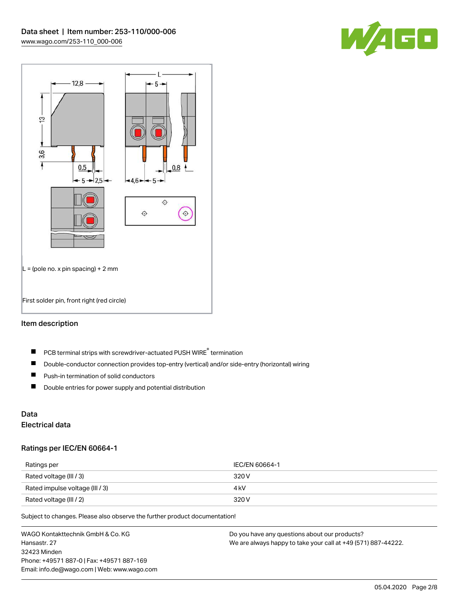



## Item description

- PCB terminal strips with screwdriver-actuated PUSH WIRE® termination  $\blacksquare$
- $\blacksquare$ Double-conductor connection provides top-entry (vertical) and/or side-entry (horizontal) wiring
- $\blacksquare$ Push-in termination of solid conductors
- $\blacksquare$ Double entries for power supply and potential distribution

# Data

# Electrical data

#### Ratings per IEC/EN 60664-1

| Ratings per                     | IEC/EN 60664-1 |
|---------------------------------|----------------|
| Rated voltage (III / 3)         | 320 V          |
| Rated impulse voltage (III / 3) | 4 kV           |
| Rated voltage (III / 2)         | 320 V          |

Subject to changes. Please also observe the further product documentation!

WAGO Kontakttechnik GmbH & Co. KG Hansastr. 27 32423 Minden Phone: +49571 887-0 | Fax: +49571 887-169 Email: info.de@wago.com | Web: www.wago.com Do you have any questions about our products? We are always happy to take your call at +49 (571) 887-44222.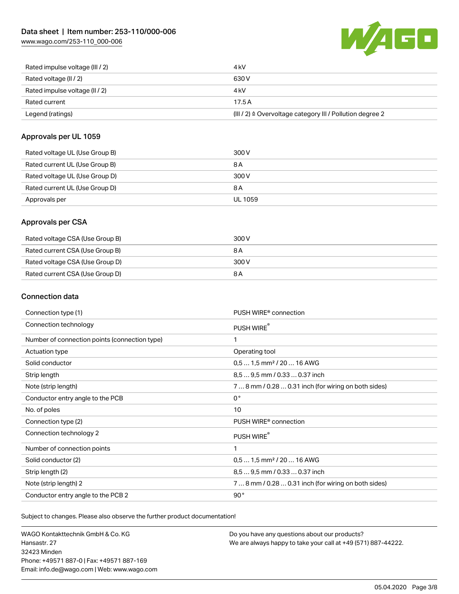[www.wago.com/253-110\\_000-006](http://www.wago.com/253-110_000-006)



| Rated impulse voltage (III / 2) | 4 kV                                                      |
|---------------------------------|-----------------------------------------------------------|
| Rated voltage (II / 2)          | 630 V                                                     |
| Rated impulse voltage (II / 2)  | 4 kV                                                      |
| Rated current                   | 17.5A                                                     |
| Legend (ratings)                | (III / 2) ≙ Overvoltage category III / Pollution degree 2 |

### Approvals per UL 1059

| Rated voltage UL (Use Group B) | 300 V          |
|--------------------------------|----------------|
| Rated current UL (Use Group B) | 8 A            |
| Rated voltage UL (Use Group D) | 300 V          |
| Rated current UL (Use Group D) | 8 A            |
| Approvals per                  | <b>UL 1059</b> |

### Approvals per CSA

| Rated voltage CSA (Use Group B) | 300 V |
|---------------------------------|-------|
| Rated current CSA (Use Group B) | 8 A   |
| Rated voltage CSA (Use Group D) | 300 V |
| Rated current CSA (Use Group D) | 8 A   |

## Connection data

| Connection type (1)                           | PUSH WIRE <sup>®</sup> connection                    |
|-----------------------------------------------|------------------------------------------------------|
| Connection technology                         | PUSH WIRE®                                           |
| Number of connection points (connection type) | 1                                                    |
| Actuation type                                | Operating tool                                       |
| Solid conductor                               | $0.51.5$ mm <sup>2</sup> / 20  16 AWG                |
| Strip length                                  | 8.5  9.5 mm / 0.33  0.37 inch                        |
| Note (strip length)                           | 7  8 mm / 0.28  0.31 inch (for wiring on both sides) |
| Conductor entry angle to the PCB              | $0^{\circ}$                                          |
| No. of poles                                  | 10                                                   |
| Connection type (2)                           | PUSH WIRE <sup>®</sup> connection                    |
| Connection technology 2                       | PUSH WIRE®                                           |
| Number of connection points                   | 1                                                    |
| Solid conductor (2)                           | $0.51.5$ mm <sup>2</sup> / 20  16 AWG                |
| Strip length (2)                              | 8.5  9.5 mm / 0.33  0.37 inch                        |
| Note (strip length) 2                         | 7  8 mm / 0.28  0.31 inch (for wiring on both sides) |
| Conductor entry angle to the PCB 2            | 90°                                                  |

Subject to changes. Please also observe the further product documentation!

WAGO Kontakttechnik GmbH & Co. KG Hansastr. 27 32423 Minden Phone: +49571 887-0 | Fax: +49571 887-169 Email: info.de@wago.com | Web: www.wago.com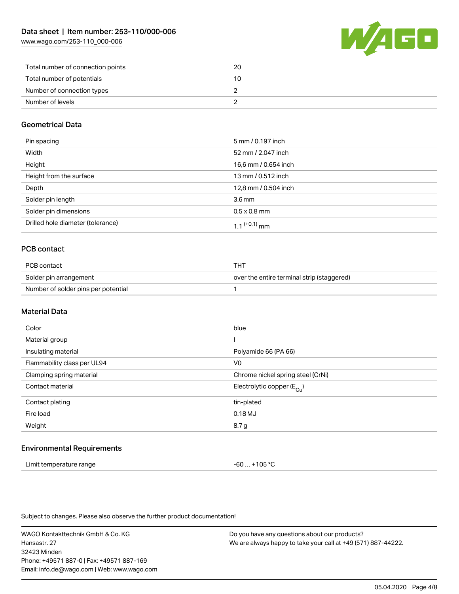[www.wago.com/253-110\\_000-006](http://www.wago.com/253-110_000-006)



| Total number of connection points | 20 |
|-----------------------------------|----|
| Total number of potentials        | 10 |
| Number of connection types        |    |
| Number of levels                  |    |

## Geometrical Data

| Pin spacing                       | 5 mm / 0.197 inch        |
|-----------------------------------|--------------------------|
| Width                             | 52 mm / 2.047 inch       |
| Height                            | 16,6 mm / 0.654 inch     |
| Height from the surface           | 13 mm / 0.512 inch       |
| Depth                             | 12,8 mm / 0.504 inch     |
| Solder pin length                 | 3.6 <sub>mm</sub>        |
| Solder pin dimensions             | $0.5 \times 0.8$ mm      |
| Drilled hole diameter (tolerance) | 1 1 <sup>(+0,1)</sup> mm |

## PCB contact

| PCB contact                         | THT                                        |
|-------------------------------------|--------------------------------------------|
| Solder pin arrangement              | over the entire terminal strip (staggered) |
| Number of solder pins per potential |                                            |

#### Material Data

| Color                       | blue                                  |
|-----------------------------|---------------------------------------|
| Material group              |                                       |
| Insulating material         | Polyamide 66 (PA 66)                  |
| Flammability class per UL94 | V <sub>0</sub>                        |
| Clamping spring material    | Chrome nickel spring steel (CrNi)     |
| Contact material            | Electrolytic copper $(E_{\text{Cl}})$ |
| Contact plating             | tin-plated                            |
| Fire load                   | 0.18MJ                                |
| Weight                      | 8.7 g                                 |
|                             |                                       |

#### Environmental Requirements

| Limit temperature range | -60  +105 °C |
|-------------------------|--------------|
|-------------------------|--------------|

Subject to changes. Please also observe the further product documentation!

WAGO Kontakttechnik GmbH & Co. KG Hansastr. 27 32423 Minden Phone: +49571 887-0 | Fax: +49571 887-169 Email: info.de@wago.com | Web: www.wago.com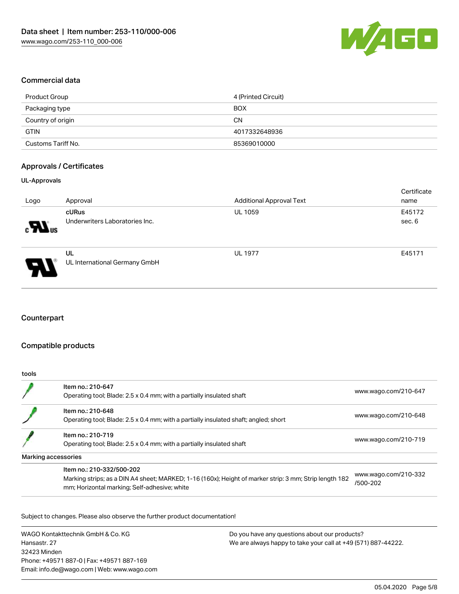

#### Commercial data

| Product Group      | 4 (Printed Circuit) |
|--------------------|---------------------|
| Packaging type     | <b>BOX</b>          |
| Country of origin  | <b>CN</b>           |
| <b>GTIN</b>        | 4017332648936       |
| Customs Tariff No. | 85369010000         |

#### Approvals / Certificates

#### UL-Approvals

| Logo                     | Approval                                | <b>Additional Approval Text</b> | Certificate<br>name |
|--------------------------|-----------------------------------------|---------------------------------|---------------------|
| $\mathbf{M}_{\text{us}}$ | cURus<br>Underwriters Laboratories Inc. | <b>UL 1059</b>                  | E45172<br>sec. 6    |
| Ъ.                       | UL<br>UL International Germany GmbH     | <b>UL 1977</b>                  | E45171              |

# **Counterpart**

#### Compatible products

| tools |                                                                                                                                                                                     |                                  |
|-------|-------------------------------------------------------------------------------------------------------------------------------------------------------------------------------------|----------------------------------|
|       | Item no.: 210-647<br>Operating tool; Blade: 2.5 x 0.4 mm; with a partially insulated shaft                                                                                          | www.wago.com/210-647             |
|       | Item no.: 210-648<br>Operating tool; Blade: 2.5 x 0.4 mm; with a partially insulated shaft; angled; short                                                                           | www.wago.com/210-648             |
|       | Item no.: 210-719<br>Operating tool; Blade: 2.5 x 0.4 mm; with a partially insulated shaft                                                                                          | www.wago.com/210-719             |
|       | Marking accessories                                                                                                                                                                 |                                  |
|       | Item no.: 210-332/500-202<br>Marking strips; as a DIN A4 sheet; MARKED; 1-16 (160x); Height of marker strip: 3 mm; Strip length 182<br>mm; Horizontal marking; Self-adhesive; white | www.wago.com/210-332<br>/500-202 |

Subject to changes. Please also observe the further product documentation!

WAGO Kontakttechnik GmbH & Co. KG Hansastr. 27 32423 Minden Phone: +49571 887-0 | Fax: +49571 887-169 Email: info.de@wago.com | Web: www.wago.com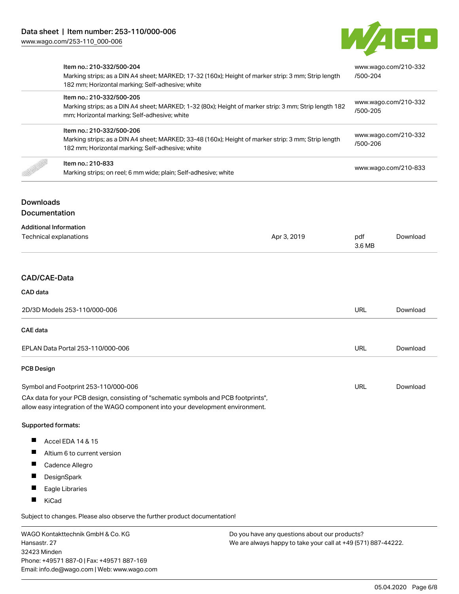

|                                                                                                                                                                                                                | Item no.: 210-332/500-204<br>182 mm; Horizontal marking; Self-adhesive; white                                                                                                        | Marking strips; as a DIN A4 sheet; MARKED; 17-32 (160x); Height of marker strip: 3 mm; Strip length<br>Marking strips; as a DIN A4 sheet; MARKED; 1-32 (80x); Height of marker strip: 3 mm; Strip length 182 |                                  | www.wago.com/210-332<br>/500-204<br>www.wago.com/210-332<br>/500-205 |  |
|----------------------------------------------------------------------------------------------------------------------------------------------------------------------------------------------------------------|--------------------------------------------------------------------------------------------------------------------------------------------------------------------------------------|--------------------------------------------------------------------------------------------------------------------------------------------------------------------------------------------------------------|----------------------------------|----------------------------------------------------------------------|--|
|                                                                                                                                                                                                                | Item no.: 210-332/500-205<br>mm; Horizontal marking; Self-adhesive; white                                                                                                            |                                                                                                                                                                                                              |                                  |                                                                      |  |
|                                                                                                                                                                                                                | Item no.: 210-332/500-206<br>Marking strips; as a DIN A4 sheet; MARKED; 33-48 (160x); Height of marker strip: 3 mm; Strip length<br>182 mm; Horizontal marking; Self-adhesive; white |                                                                                                                                                                                                              | www.wago.com/210-332<br>/500-206 |                                                                      |  |
|                                                                                                                                                                                                                | Item no.: 210-833<br>Marking strips; on reel; 6 mm wide; plain; Self-adhesive; white                                                                                                 |                                                                                                                                                                                                              | www.wago.com/210-833             |                                                                      |  |
| <b>Downloads</b><br>Documentation                                                                                                                                                                              |                                                                                                                                                                                      |                                                                                                                                                                                                              |                                  |                                                                      |  |
|                                                                                                                                                                                                                | <b>Additional Information</b><br><b>Technical explanations</b>                                                                                                                       | Apr 3, 2019                                                                                                                                                                                                  | pdf<br>3.6 MB                    | Download                                                             |  |
| CAD/CAE-Data                                                                                                                                                                                                   |                                                                                                                                                                                      |                                                                                                                                                                                                              |                                  |                                                                      |  |
| CAD data                                                                                                                                                                                                       |                                                                                                                                                                                      |                                                                                                                                                                                                              |                                  |                                                                      |  |
| 2D/3D Models 253-110/000-006                                                                                                                                                                                   |                                                                                                                                                                                      | URL                                                                                                                                                                                                          | Download                         |                                                                      |  |
| <b>CAE</b> data                                                                                                                                                                                                |                                                                                                                                                                                      |                                                                                                                                                                                                              |                                  |                                                                      |  |
| EPLAN Data Portal 253-110/000-006                                                                                                                                                                              |                                                                                                                                                                                      |                                                                                                                                                                                                              | URL                              | Download                                                             |  |
| <b>PCB Design</b>                                                                                                                                                                                              |                                                                                                                                                                                      |                                                                                                                                                                                                              |                                  |                                                                      |  |
| Symbol and Footprint 253-110/000-006<br>CAx data for your PCB design, consisting of "schematic symbols and PCB footprints",<br>allow easy integration of the WAGO component into your development environment. |                                                                                                                                                                                      | URL                                                                                                                                                                                                          | Download                         |                                                                      |  |
| Supported formats:                                                                                                                                                                                             |                                                                                                                                                                                      |                                                                                                                                                                                                              |                                  |                                                                      |  |
| ш<br>ш<br>ш                                                                                                                                                                                                    | Accel EDA 14 & 15<br>Altium 6 to current version<br>Cadence Allegro<br>DesignSpark                                                                                                   |                                                                                                                                                                                                              |                                  |                                                                      |  |
| ۰<br>KiCad                                                                                                                                                                                                     | Eagle Libraries                                                                                                                                                                      |                                                                                                                                                                                                              |                                  |                                                                      |  |

Subject to changes. Please also observe the further product documentation!

WAGO Kontakttechnik GmbH & Co. KG Hansastr. 27 32423 Minden Phone: +49571 887-0 | Fax: +49571 887-169 Email: info.de@wago.com | Web: www.wago.com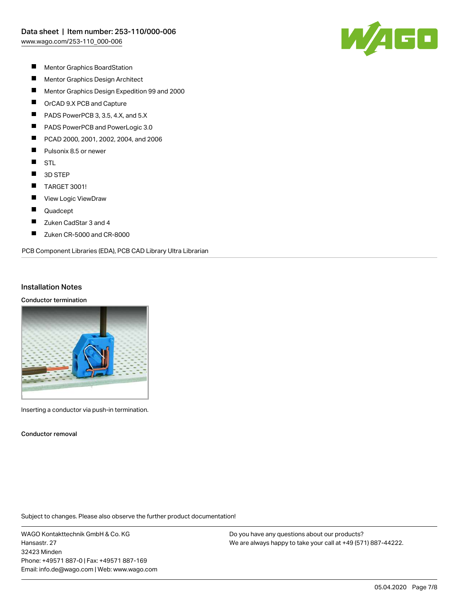

- $\blacksquare$ Mentor Graphics BoardStation
- $\blacksquare$ Mentor Graphics Design Architect
- $\blacksquare$ Mentor Graphics Design Expedition 99 and 2000
- $\blacksquare$ OrCAD 9.X PCB and Capture
- $\blacksquare$ PADS PowerPCB 3, 3.5, 4.X, and 5.X
- П PADS PowerPCB and PowerLogic 3.0
- П PCAD 2000, 2001, 2002, 2004, and 2006
- П Pulsonix 8.5 or newer
- $\blacksquare$ **STL**
- $\blacksquare$ 3D STEP
- $\blacksquare$ TARGET 3001!
- $\blacksquare$ View Logic ViewDraw
- $\blacksquare$ Quadcept
- $\blacksquare$ Zuken CadStar 3 and 4
- $\blacksquare$ Zuken CR-5000 and CR-8000

PCB Component Libraries (EDA), PCB CAD Library Ultra Librarian

#### Installation Notes

#### Conductor termination



Inserting a conductor via push-in termination.

Conductor removal

Subject to changes. Please also observe the further product documentation!

WAGO Kontakttechnik GmbH & Co. KG Hansastr. 27 32423 Minden Phone: +49571 887-0 | Fax: +49571 887-169 Email: info.de@wago.com | Web: www.wago.com